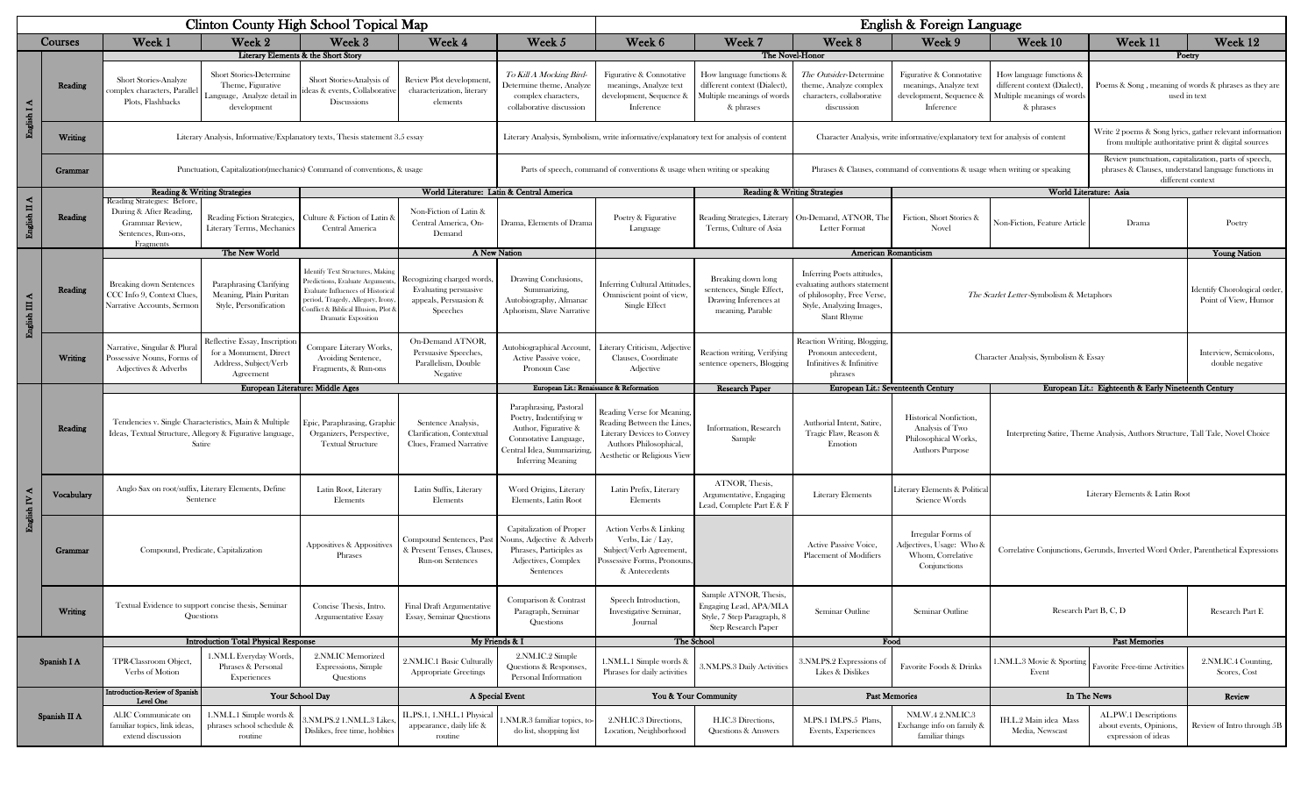|                         |             | Clinton County High School Topical Map                                                                                                                                                                              |                                                                                                                          |                                                                                                                                                                                                                   |                                                                                                                                                           |                                                                                                                                               |                                                                                                                       | English & Foreign Language                                                                           |                                                                                                                                          |                                                                                            |                                                                                                     |                                                                                                 |                                                                                                                                  |  |  |
|-------------------------|-------------|---------------------------------------------------------------------------------------------------------------------------------------------------------------------------------------------------------------------|--------------------------------------------------------------------------------------------------------------------------|-------------------------------------------------------------------------------------------------------------------------------------------------------------------------------------------------------------------|-----------------------------------------------------------------------------------------------------------------------------------------------------------|-----------------------------------------------------------------------------------------------------------------------------------------------|-----------------------------------------------------------------------------------------------------------------------|------------------------------------------------------------------------------------------------------|------------------------------------------------------------------------------------------------------------------------------------------|--------------------------------------------------------------------------------------------|-----------------------------------------------------------------------------------------------------|-------------------------------------------------------------------------------------------------|----------------------------------------------------------------------------------------------------------------------------------|--|--|
|                         | Courses     | Week 1<br>Week 2<br>Week 3                                                                                                                                                                                          |                                                                                                                          | Week 4<br>Week 5                                                                                                                                                                                                  |                                                                                                                                                           | Week 7<br>Week 6                                                                                                                              |                                                                                                                       | Week 8<br>Week 9                                                                                     |                                                                                                                                          | Week 10<br>Week 11                                                                         |                                                                                                     | Week 12                                                                                         |                                                                                                                                  |  |  |
|                         |             |                                                                                                                                                                                                                     |                                                                                                                          | Literary Elements & the Short Story                                                                                                                                                                               |                                                                                                                                                           |                                                                                                                                               |                                                                                                                       | The Novel-Honor                                                                                      |                                                                                                                                          |                                                                                            |                                                                                                     | Poetry                                                                                          |                                                                                                                                  |  |  |
| English I A             | Reading     | Short Stories-Analyze<br>omplex characters, Parallel<br>Plots, Flashbacks                                                                                                                                           | <b>Short Stories-Determine</b><br>Theme, Figurative<br>Language, Analyze detail i<br>development                         | Short Stories-Analysis of<br>deas & events, Collaborative<br><b>Discussions</b>                                                                                                                                   | Review Plot development<br>characterization, literary<br>elements                                                                                         | To Kill A Mocking Bird-<br>Determine theme, Analyze<br>complex characters,<br>collaborative discussion                                        | Figurative & Connotative<br>meanings, Analyze text<br>development, Sequence &<br>Inference                            | How language functions o<br>different context (Dialect)<br>Multiple meanings of word<br>& phrases    | <i>The Outsider-Determine</i><br>theme, Analyze complex<br>characters, collaborative<br>discussion                                       | Figurative & Connotative<br>meanings, Analyze text<br>development, Sequence &<br>Inference | How language functions &<br>different context (Dialect).<br>Multiple meanings of words<br>& phrases | Poems & Song, meaning of words & phrases as they are<br>used in text                            |                                                                                                                                  |  |  |
|                         | Writing     |                                                                                                                                                                                                                     |                                                                                                                          | Literary Analysis, Informative/Explanatory texts, Thesis statement 3.5 essay                                                                                                                                      |                                                                                                                                                           |                                                                                                                                               | Literary Analysis, Symbolism, write informative/explanatory text for analysis of content                              |                                                                                                      |                                                                                                                                          |                                                                                            | Character Analysis, write informative/explanatory text for analysis of content                      |                                                                                                 | Write 2 poems & Song lyrics, gather relevant information<br>from multiple authoritative print & digital sources                  |  |  |
|                         | Grammar     | Punctuation, Capitalization (mechanics) Command of conventions, & usage                                                                                                                                             |                                                                                                                          |                                                                                                                                                                                                                   |                                                                                                                                                           |                                                                                                                                               | Parts of speech, command of conventions & usage when writing or speaking                                              |                                                                                                      |                                                                                                                                          | Phrases & Clauses, command of conventions & usage when writing or speaking                 |                                                                                                     |                                                                                                 | Review punctuation, capitalization, parts of speech,<br>phrases & Clauses, understand language functions in<br>different context |  |  |
|                         |             | <b>Reading &amp; Writing Strategies</b>                                                                                                                                                                             |                                                                                                                          |                                                                                                                                                                                                                   |                                                                                                                                                           | World Literature: Latin & Central America                                                                                                     | <b>Reading &amp; Writing Strategies</b>                                                                               |                                                                                                      |                                                                                                                                          |                                                                                            | World Literature: Asia                                                                              |                                                                                                 |                                                                                                                                  |  |  |
| English II A            | Reading     | Reading Strategies: Before,<br>During & After Reading,<br>Grammar Review,<br>Sentences, Run-ons,<br>Fragments                                                                                                       | Reading Fiction Strategies,<br>Literary Terms, Mechanics                                                                 | ulture & Fiction of Latin &<br>Central America                                                                                                                                                                    | Non-Fiction of Latin &<br>Central America, On-<br>Demand                                                                                                  | Drama, Elements of Drama                                                                                                                      | Poetry & Figurative<br>Language                                                                                       | Terms, Culture of Asia                                                                               | Reading Strategies, Literary   On-Demand, ATNOR, The<br>Letter Format                                                                    | Fiction, Short Stories &<br>Novel                                                          | Non-Fiction, Feature Article                                                                        | Drama                                                                                           | Poetry                                                                                                                           |  |  |
|                         |             |                                                                                                                                                                                                                     | The New World                                                                                                            |                                                                                                                                                                                                                   | A New Nation                                                                                                                                              |                                                                                                                                               |                                                                                                                       |                                                                                                      | <b>American Romanticism</b>                                                                                                              |                                                                                            |                                                                                                     |                                                                                                 | <b>Young Nation</b>                                                                                                              |  |  |
| English $\rm I\!I\!I$ A | Reading     | <b>Breaking down Sentences</b><br>CCC Info 9, Context Clues,<br>Narrative Accounts, Sermor                                                                                                                          | Paraphrasing Clarifying<br>Meaning, Plain Puritan<br>Style, Personification                                              | Identify Text Structures, Making<br>redictions, Evaluate Arguments<br>Evaluate Influences of Historical<br>period, Tragedy, Allegory, Irony,<br>onflict & Biblical Illusion, Plot &<br><b>Dramatic Exposition</b> | Recognizing charged words<br>Evaluating persuasive<br>appeals, Persuasion &<br>Speeches                                                                   | Drawing Conclusions,<br>Summarizing,<br>Autobiography, Almanac<br>Aphorism, Slave Narrative                                                   | <b>Inferring Cultural Attitudes</b><br>Omniscient point of view,<br>Single Effect                                     | Breaking down long<br>sentences, Single Effect,<br>Drawing Inferences at<br>meaning, Parable         | <b>Inferring Poets attitudes.</b><br>valuating authors statemen<br>of philosophy, Free Verse,<br>Style, Analyzing Images,<br>Slant Rhyme |                                                                                            |                                                                                                     | Identify Chorological order<br>The Scarlet Letter-Symbolism & Metaphors<br>Point of View, Humor |                                                                                                                                  |  |  |
|                         | Writing     | Narrative, Singular & Plura<br>Possessive Nouns, Forms of<br>Adjectives & Adverbs                                                                                                                                   | Reflective Essay, Inscription<br>for a Monument, Direct<br>Address, Subject/Verb<br>Agreement                            | Compare Literary Works,<br>Avoiding Sentence,<br>Fragments, & Run-ons                                                                                                                                             | On-Demand ATNOR,<br>Persuasive Speeches,<br>Parallelism, Double<br>Negative                                                                               | Autobiographical Account<br>Active Passive voice,<br>Pronoun Case                                                                             | Literary Criticism, Adjective<br>Clauses, Coordinate<br>Adjective                                                     | Reaction writing, Verifying<br>sentence openers, Blogging                                            | Reaction Writing, Blogging<br>Pronoun antecedent,<br>Infinitives & Infinitive<br>phrases                                                 |                                                                                            | Character Analysis, Symbolism & Essay                                                               | Interview, Semicolons,<br>double negative                                                       |                                                                                                                                  |  |  |
|                         |             |                                                                                                                                                                                                                     | European Literature: Middle Ages                                                                                         |                                                                                                                                                                                                                   |                                                                                                                                                           |                                                                                                                                               | European Lit.: Renaissance & Reformation                                                                              | Research Paper                                                                                       | European Lit.: Seventeenth Century                                                                                                       |                                                                                            |                                                                                                     | European Lit.: Eighteenth & Early Nineteenth Century                                            |                                                                                                                                  |  |  |
|                         | Reading     | Tendencies v. Single Characteristics, Main & Multiple<br>Epic, Paraphrasing, Graphic<br>Ideas, Textual Structure, Allegory & Figurative language,<br>Organizers, Perspective,<br>Satire<br><b>Textual Structure</b> |                                                                                                                          | Sentence Analysis,<br>Clarification, Contextual<br>Clues, Framed Narrative                                                                                                                                        | Paraphrasing, Pastoral<br>Poetry, Indentifying w<br>Author, Figurative &<br>Connotative Language,<br>entral Idea, Summarizing<br><b>Inferring Meaning</b> | Reading Verse for Meaning<br>Reading Between the Lines<br>Literary Devices to Convey<br>Authors Philosophical,<br>Aesthetic or Religious View | Information, Research<br>Sample                                                                                       | Authorial Intent, Satire.<br>Tragic Flaw, Reason &<br>Emotion                                        | <b>Historical Nonfiction,</b><br>Analysis of Two<br>Philosophical Works,<br><b>Authors Purpose</b>                                       | Interpreting Satire, Theme Analysis, Authors Structure, Tall Tale, Novel Choice            |                                                                                                     |                                                                                                 |                                                                                                                                  |  |  |
| English IV A            | Vocabulary  | Anglo Sax on root/suffix, Literary Elements, Define                                                                                                                                                                 | Sentence                                                                                                                 | Latin Root, Literary<br>Elements                                                                                                                                                                                  | Latin Suffix, Literary<br>Elements                                                                                                                        | Word Origins, Literary<br>Elements, Latin Root                                                                                                | Latin Prefix, Literary<br>Elements                                                                                    | ATNOR, Thesis,<br>Argumentative, Engaging<br>Lead, Complete Part E & I                               | <b>Literary Elements</b>                                                                                                                 | Literary Elements & Politica<br>Science Words                                              | Literary Elements & Latin Root                                                                      |                                                                                                 |                                                                                                                                  |  |  |
|                         | Grammar     | Appositives & Appositives<br>Compound, Predicate, Capitalization<br>Phrases                                                                                                                                         |                                                                                                                          |                                                                                                                                                                                                                   | Present Tenses, Clauses,<br>Run-on Sentences                                                                                                              | Capitalization of Proper<br>Compound Sentences, Past Nouns, Adjective & Adverb<br>Phrases, Participles as<br>Adjectives, Complex<br>Sentences | Action Verbs & Linking<br>Verbs, Lie / Lay,<br>Subject/Verb Agreement,<br>Possessive Forms, Pronouns<br>& Antecedents |                                                                                                      | Active Passive Voice,<br><b>Placement of Modifiers</b>                                                                                   | Irregular Forms of<br>Adjectives, Usage: Who &<br>Whom, Correlative<br>Conjunctions        |                                                                                                     | Correlative Conjunctions, Gerunds, Inverted Word Order, Parenthetical Expressions               |                                                                                                                                  |  |  |
|                         | Writing     |                                                                                                                                                                                                                     | Textual Evidence to support concise thesis, Seminar<br>Concise Thesis, Intro.<br>Questions<br><b>Argumentative Essay</b> |                                                                                                                                                                                                                   | <b>Final Draft Argumentative</b><br>Essay, Seminar Questions                                                                                              | Speech Introduction<br>Comparison & Contrast<br>Paragraph, Seminar<br>Investigative Seminar,<br>Questions<br>Journal                          |                                                                                                                       | Sample ATNOR, Thesis,<br>Engaging Lead, APA/MLA<br>Style, 7 Step Paragraph, 8<br>Step Research Paper | Seminar Outline                                                                                                                          | Seminar Outline                                                                            |                                                                                                     | Research Part B, C, D                                                                           | Research Part E                                                                                                                  |  |  |
|                         |             |                                                                                                                                                                                                                     | <b>Introduction Total Physical Response</b>                                                                              |                                                                                                                                                                                                                   | My Friends & I                                                                                                                                            |                                                                                                                                               |                                                                                                                       | The School                                                                                           |                                                                                                                                          | Food                                                                                       |                                                                                                     | <b>Past Memories</b>                                                                            |                                                                                                                                  |  |  |
|                         | Spanish I A | TPR-Classroom Object,<br>Verbs of Motion                                                                                                                                                                            | 1.NM.L Everyday Words<br>Phrases & Personal<br>Experiences                                                               | 2.NM.IC Memorized<br>Expressions, Simple<br>Questions                                                                                                                                                             | 2.NM.IC.1 Basic Culturally<br><b>Appropriate Greetings</b>                                                                                                | 2.NM.IC.2 Simple<br>Questions & Responses,<br>Personal Information                                                                            | 1.NM.L.1 Simple words &<br>Phrases for daily activities                                                               | 3.NM.PS.3 Daily Activities                                                                           | 3.NM.PS.2 Expressions of<br>Likes & Dislikes                                                                                             | Favorite Foods & Drinks                                                                    | I.NM.L.3 Movie & Sportin<br>Event                                                                   | Favorite Free-time Activitie:                                                                   | 2.NM.IC.4 Counting,<br>Scores, Cost                                                                                              |  |  |
|                         |             | Introduction-Review of Spanish<br>Level One                                                                                                                                                                         |                                                                                                                          | Your School Day                                                                                                                                                                                                   |                                                                                                                                                           | A Special Event                                                                                                                               |                                                                                                                       | You & Your Community                                                                                 |                                                                                                                                          | <b>Past Memories</b>                                                                       | In The News                                                                                         |                                                                                                 | Review                                                                                                                           |  |  |
| Spanish II A            |             | Al.IC Communicate on<br>familiar topics, link ideas,<br>extend discussion                                                                                                                                           | 1.NM.L.1 Simple words &<br>phrases school schedule &<br>routine                                                          | .NM.PS.2 1.NM.L.3 Likes,<br>Dislikes, free time, hobbies                                                                                                                                                          | L.PS.1, 1.NH.L.1 Physica<br>appearance, daily life &<br>routine                                                                                           | NM.R.3 familiar topics, to<br>do list, shopping list                                                                                          | 2.NH.IC.3 Directions,<br>Location, Neighborhood                                                                       | H.IC.3 Directions,<br>Questions & Answers                                                            | M.PS.1 IM.PS.5 Plans,<br>Events, Experiences                                                                                             | NM.W.4 2.NM.IC.3<br>Exchange info on family &<br>familiar things                           | IH.L.2 Main idea Mass<br>Media, Newscast                                                            | AL.PW.1 Descriptions<br>about events, Opinions,<br>expression of ideas                          | Review of Intro through 5B                                                                                                       |  |  |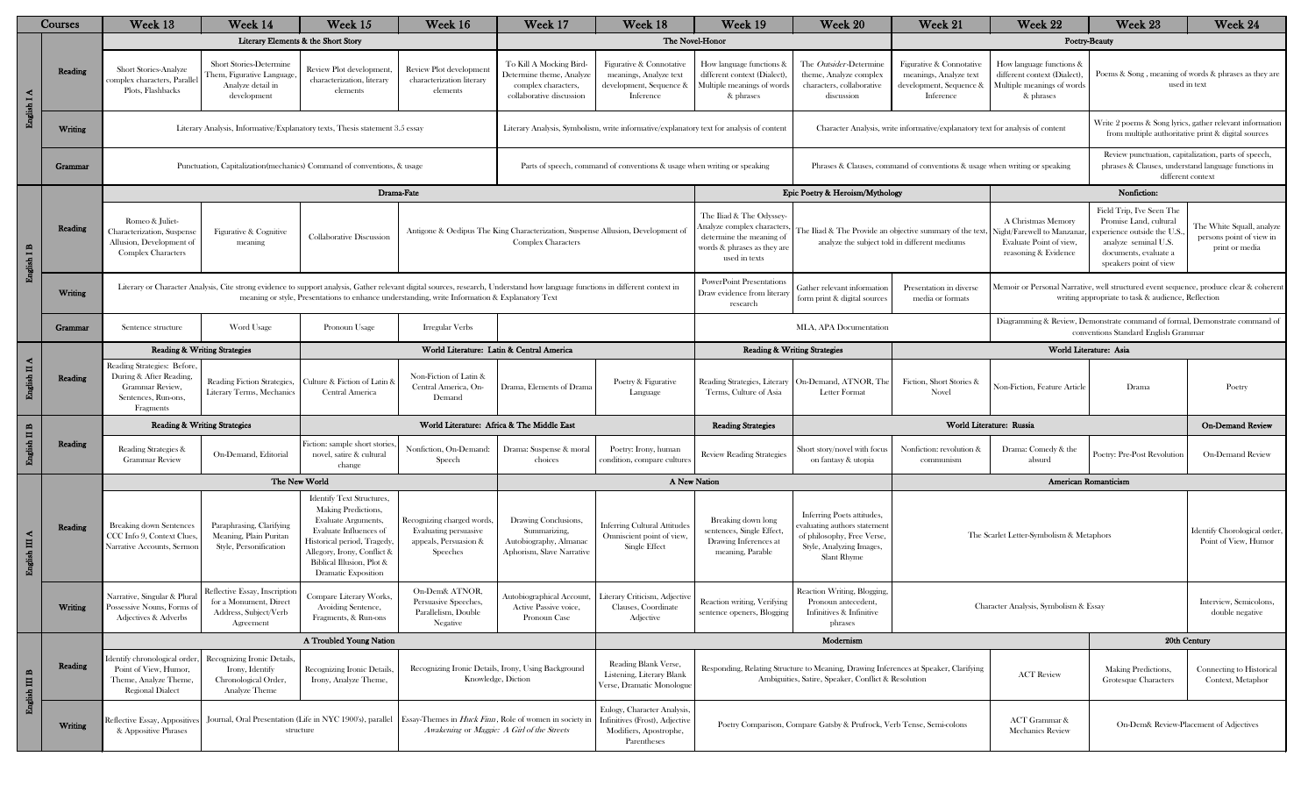| Courses                    |         | Week 13                                                                                                                                                                                        | Week 14                                                                                       | Week 15                                                                                                                                                                                                                                                                          | Week 16                                                                                  | Week 17                                                                                                      | Week 18                                                                                                | Week 19                                                                                                                            | Week 20                                                                                                                                     | Week 21                                                                                    | Week 22                                                                                                                                      | Week 23                                                                                                                                                   | Week 24                                                                                                         |  |
|----------------------------|---------|------------------------------------------------------------------------------------------------------------------------------------------------------------------------------------------------|-----------------------------------------------------------------------------------------------|----------------------------------------------------------------------------------------------------------------------------------------------------------------------------------------------------------------------------------------------------------------------------------|------------------------------------------------------------------------------------------|--------------------------------------------------------------------------------------------------------------|--------------------------------------------------------------------------------------------------------|------------------------------------------------------------------------------------------------------------------------------------|---------------------------------------------------------------------------------------------------------------------------------------------|--------------------------------------------------------------------------------------------|----------------------------------------------------------------------------------------------------------------------------------------------|-----------------------------------------------------------------------------------------------------------------------------------------------------------|-----------------------------------------------------------------------------------------------------------------|--|
|                            |         |                                                                                                                                                                                                |                                                                                               | Literary Elements & the Short Story                                                                                                                                                                                                                                              |                                                                                          | The Novel-Honor                                                                                              |                                                                                                        |                                                                                                                                    |                                                                                                                                             | <b>Poetry-Beauty</b>                                                                       |                                                                                                                                              |                                                                                                                                                           |                                                                                                                 |  |
| English I A                | Reading | Short Stories-Analyze<br>complex characters, Parallel<br>Plots, Flashbacks                                                                                                                     | Short Stories-Determine<br>Them, Figurative Language<br>Analyze detail in<br>development      | Review Plot development<br>characterization, literary<br>elements                                                                                                                                                                                                                | Review Plot development<br>characterization literary<br>elements                         | To Kill A Mocking Bird-<br>Determine theme, Analyze<br>complex characters,<br>collaborative discussion       | Figurative & Connotative<br>meanings, Analyze text<br>development, Sequence &<br>Inference             | How language functions &<br>different context (Dialect)<br>Multiple meanings of word:<br>& phrases                                 | The Outsider-Determine<br>theme, Analyze complex<br>characters, collaborative<br>discussion                                                 | Figurative & Connotative<br>meanings, Analyze text<br>development, Sequence &<br>Inference | How language functions &<br>different context (Dialect)<br>Multiple meanings of words<br>& phrases                                           |                                                                                                                                                           | Poems & Song, meaning of words & phrases as they are<br>used in text                                            |  |
|                            | Writing |                                                                                                                                                                                                |                                                                                               | Literary Analysis, Informative/Explanatory texts, Thesis statement 3.5 essay                                                                                                                                                                                                     |                                                                                          |                                                                                                              | Literary Analysis, Symbolism, write informative/explanatory text for analysis of content               |                                                                                                                                    |                                                                                                                                             | Character Analysis, write informative/explanatory text for analysis of content             |                                                                                                                                              |                                                                                                                                                           | Write 2 poems & Song lyrics, gather relevant information<br>from multiple authoritative print & digital sources |  |
|                            | Grammar |                                                                                                                                                                                                |                                                                                               | Punctuation, Capitalization (mechanics) Command of conventions, & usage                                                                                                                                                                                                          |                                                                                          |                                                                                                              | Parts of speech, command of conventions & usage when writing or speaking                               | Phrases & Clauses, command of conventions & usage when writing or speaking                                                         |                                                                                                                                             |                                                                                            |                                                                                                                                              | Review punctuation, capitalization, parts of speech,<br>phrases & Clauses, understand language functions in<br>different context                          |                                                                                                                 |  |
|                            |         |                                                                                                                                                                                                | Drama-Fate                                                                                    |                                                                                                                                                                                                                                                                                  |                                                                                          |                                                                                                              |                                                                                                        | Epic Poetry & Heroism/Mythology                                                                                                    |                                                                                                                                             |                                                                                            | Nonfiction:                                                                                                                                  |                                                                                                                                                           |                                                                                                                 |  |
| English I B                | Reading | Romeo & Juliet-<br>Characterization, Suspense<br>Figurative & Cognitive<br>Collaborative Discussion<br>Allusion, Development of<br>meaning<br><b>Complex Characters</b>                        |                                                                                               |                                                                                                                                                                                                                                                                                  |                                                                                          | Antigone & Oedipus The King Characterization, Suspense Allusion, Development of<br><b>Complex Characters</b> |                                                                                                        | The Iliad & The Odyssey-<br>Analyze complex characters<br>determine the meaning of<br>words & phrases as they are<br>used in texts | The Iliad & The Provide an objective summary of the text,<br>analyze the subject told in different mediums                                  |                                                                                            | A Christmas Memory<br><b>Night/Farewell to Manzana</b><br>Evaluate Point of view,<br>reasoning & Evidence                                    | Field Trip, I've Seen The<br>Promise Land, cultural<br>perience outside the U.<br>analyze seminal U.S.<br>documents, evaluate a<br>speakers point of view | The White Squall, analyze<br>persons point of view in<br>print or media                                         |  |
|                            | Writing |                                                                                                                                                                                                |                                                                                               | Literary or Character Analysis, Cite strong evidence to support analysis, Gather relevant digital sources, research, Understand how language functions in different context in<br>meaning or style, Presentations to enhance understanding, write Information & Explanatory Text |                                                                                          |                                                                                                              |                                                                                                        | <b>PowerPoint Presentations</b><br>Draw evidence from literary<br>research                                                         | Gather relevant informatioı<br>Presentation in diverse<br>form print & digital sources<br>media or formats                                  |                                                                                            | Memoir or Personal Narrative, well structured event sequence, produce clear & coherent<br>writing appropriate to task & audience, Reflection |                                                                                                                                                           |                                                                                                                 |  |
|                            | Grammar | Sentence structure                                                                                                                                                                             | Word Usage                                                                                    | Pronoun Usage                                                                                                                                                                                                                                                                    | Irregular Verbs                                                                          |                                                                                                              |                                                                                                        |                                                                                                                                    | MLA, APA Documentation                                                                                                                      |                                                                                            |                                                                                                                                              | Diagramming & Review, Demonstrate command of formal, Demonstrate command of<br>conventions Standard English Grammar                                       |                                                                                                                 |  |
|                            |         | <b>Reading &amp; Writing Strategies</b>                                                                                                                                                        |                                                                                               |                                                                                                                                                                                                                                                                                  | World Literature: Latin & Central America                                                |                                                                                                              |                                                                                                        |                                                                                                                                    | <b>Reading &amp; Writing Strategies</b>                                                                                                     |                                                                                            |                                                                                                                                              | World Literature: Asia                                                                                                                                    |                                                                                                                 |  |
| English II A               | Reading | Reading Strategies: Before,<br>During & After Reading,<br>Grammar Review,<br>Sentences, Run-ons,<br>Fragments                                                                                  | <b>Reading Fiction Strategies,</b><br>Literary Terms, Mechanics                               | Culture & Fiction of Latin &<br>Central America                                                                                                                                                                                                                                  | Non-Fiction of Latin &<br>Central America, On-<br>Demand                                 | Drama, Elements of Drama                                                                                     | Poetry & Figurative<br>Language                                                                        | Reading Strategies, Literary<br>Terms, Culture of Asia                                                                             | On-Demand, ATNOR, The<br><b>Letter Format</b>                                                                                               | Fiction, Short Stories &<br>Novel                                                          | Von-Fiction, Feature Article                                                                                                                 | Drama                                                                                                                                                     | Poetry                                                                                                          |  |
|                            |         | <b>Reading &amp; Writing Strategies</b><br>World Literature: Africa & The Middle East                                                                                                          |                                                                                               |                                                                                                                                                                                                                                                                                  |                                                                                          |                                                                                                              |                                                                                                        | <b>Reading Strategies</b>                                                                                                          |                                                                                                                                             |                                                                                            | World Literature: Russia                                                                                                                     |                                                                                                                                                           | <b>On-Demand Review</b>                                                                                         |  |
| English II B               | Reading | Reading Strategies &<br><b>Grammar Review</b>                                                                                                                                                  | On-Demand, Editorial                                                                          | Fiction: sample short storie<br>novel, satire & cultural<br>change                                                                                                                                                                                                               | Nonfiction, On-Demand<br>Speech                                                          | Drama: Suspense & moral<br>choices                                                                           | Poetry: Irony, human<br>ondition, compare culture                                                      | Review Reading Strategies                                                                                                          | Short story/novel with focu<br>on fantasy & utopia                                                                                          | Nonfiction: revolution &<br>communism                                                      | Drama: Comedy & the<br>absurd                                                                                                                | Poetry: Pre-Post Revolutio                                                                                                                                | <b>On-Demand Review</b>                                                                                         |  |
|                            |         | The New World                                                                                                                                                                                  |                                                                                               |                                                                                                                                                                                                                                                                                  |                                                                                          |                                                                                                              |                                                                                                        |                                                                                                                                    | A New Nation                                                                                                                                |                                                                                            |                                                                                                                                              | <b>American Romanticism</b>                                                                                                                               |                                                                                                                 |  |
| $\mathbf{u}$<br>English II | Reading | <b>Breaking down Sentences</b><br>CCC Info 9, Context Clues,<br>Narrative Accounts, Sermon                                                                                                     | Paraphrasing, Clarifying<br>Meaning, Plain Puritan<br>Style, Personification                  | <b>Identify Text Structures,</b><br>Making Predictions,<br>Evaluate Arguments,<br>Evaluate Influences of<br>Historical period, Tragedy<br>Allegory, Irony, Conflict &<br>Biblical Illusion, Plot &<br>Dramatic Exposition                                                        | Recognizing charged words,<br>Evaluating persuasive<br>appeals, Persuasion &<br>Speeches | Drawing Conclusions<br>Summarizing,<br>Autobiography, Almanac<br>Aphorism, Slave Narrative                   | <b>Inferring Cultural Attitude</b><br>Omniscient point of view,<br>Single Effect                       | Breaking down long<br>sentences, Single Effect,<br>Drawing Inferences at<br>meaning, Parable                                       | Inferring Poets attitudes,<br>evaluating authors statemen<br>of philosophy, Free Verse,<br>Style, Analyzing Images,<br>Slant Rhyme          |                                                                                            | The Scarlet Letter-Symbolism & Metaphors                                                                                                     | Identify Chorological order,<br>Point of View, Humor                                                                                                      |                                                                                                                 |  |
|                            | Writing | Narrative, Singular & Plura<br>Possessive Nouns, Forms o<br>Adjectives & Adverbs                                                                                                               | Reflective Essay, Inscription<br>for a Monument, Direct<br>Address, Subject/Verb<br>Agreement | Compare Literary Works,<br>Avoiding Sentence,<br>Fragments, & Run-ons                                                                                                                                                                                                            | On-Dem& ATNOR,<br>Persuasive Speeches,<br>Parallelism, Double<br>Negative                | Autobiographical Account,<br>Active Passive voice,<br>Pronoun Case                                           | Literary Criticism, Adjectiv<br>Clauses, Coordinate<br>Adjective                                       | Reaction writing, Verifying<br>sentence openers, Blogging                                                                          | Reaction Writing, Blogging,<br>Pronoun antecedent,<br>Infinitives & Infinitive<br>phrases                                                   |                                                                                            | Character Analysis, Symbolism & Essay                                                                                                        |                                                                                                                                                           |                                                                                                                 |  |
|                            |         |                                                                                                                                                                                                | A Troubled Young Nation                                                                       |                                                                                                                                                                                                                                                                                  |                                                                                          |                                                                                                              |                                                                                                        | Modernism                                                                                                                          |                                                                                                                                             |                                                                                            |                                                                                                                                              |                                                                                                                                                           | 20th Century                                                                                                    |  |
| English III B              | Reading | Identify chronological order<br>Point of View, Humor,<br>Theme, Analyze Theme,<br>Regional Dialect                                                                                             | <b>Recognizing Ironic Details</b><br>Irony, Identify<br>Chronological Order,<br>Analyze Theme | Recognizing Ironic Details<br>Irony, Analyze Theme,                                                                                                                                                                                                                              | Recognizing Ironic Details, Irony, Using Background<br>Knowledge, Diction                |                                                                                                              | Reading Blank Verse,<br>Listening, Literary Blank<br>Verse, Dramatic Monologue                         |                                                                                                                                    | Responding, Relating Structure to Meaning, Drawing Inferences at Speaker, Clarifying<br>Ambiguities, Satire, Speaker, Conflict & Resolution |                                                                                            | <b>ACT Review</b>                                                                                                                            | Making Predictions.<br>Grotesque Characters                                                                                                               | Connecting to Historical<br>Context, Metaphor                                                                   |  |
|                            | Writing | Journal, Oral Presentation (Life in NYC 1900's), parallel Essay-Themes in <i>Huck Finn</i> , Role of women in society in<br>Reflective Essay, Appositives<br>& Appositive Phrases<br>structure |                                                                                               |                                                                                                                                                                                                                                                                                  | Awakening or Maggie: A Girl of the Streets                                               |                                                                                                              | Eulogy, Character Analysis,<br>Infinitives (Frost), Adjective<br>Modifiers, Apostrophe,<br>Parentheses |                                                                                                                                    | Poetry Comparison, Compare Gatsby & Prufrock, Verb Tense, Semi-colons                                                                       |                                                                                            | <b>ACT</b> Grammar &<br><b>Mechanics Review</b>                                                                                              | On-Dem& Review-Placement of Adjectives                                                                                                                    |                                                                                                                 |  |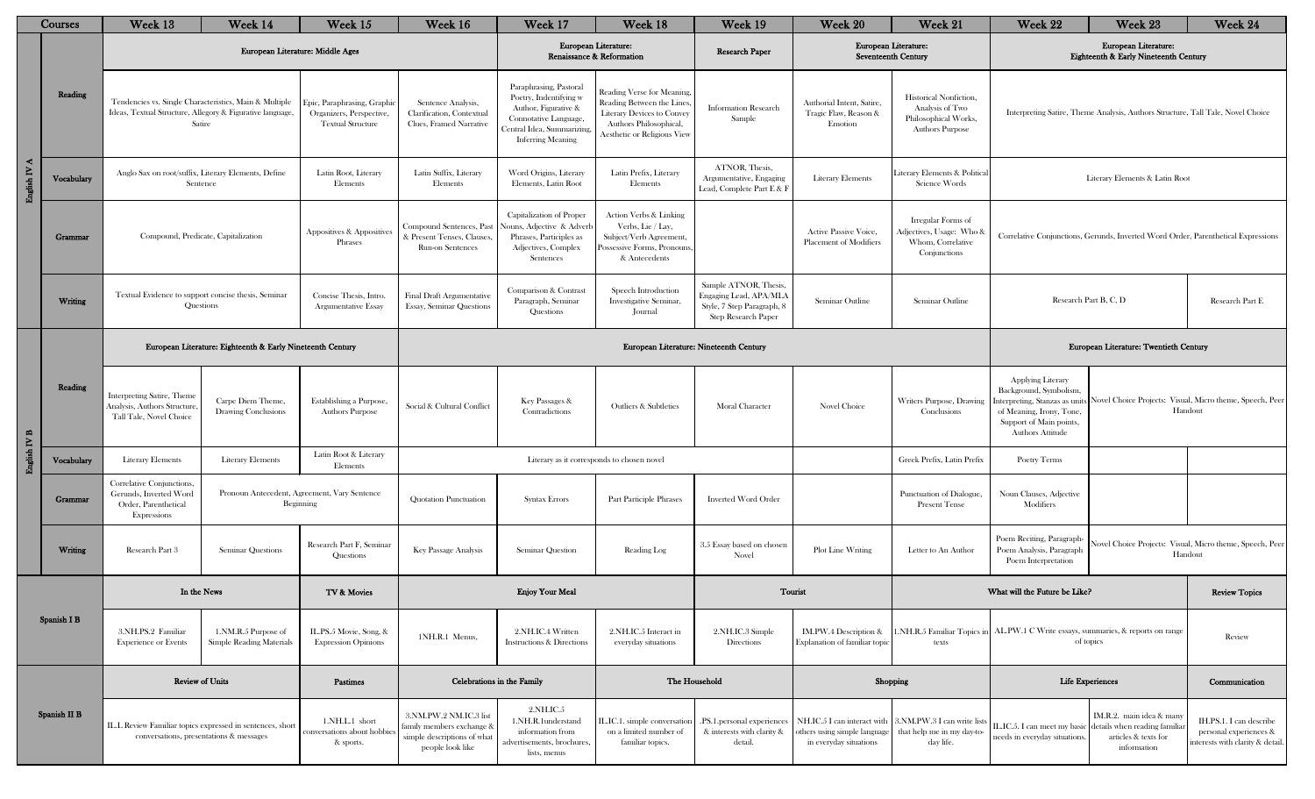| Courses                    |              | Week 13                                                                                                                       | Week 14                                         | Week 15                                                                            | Week 16                                                                                                | Week 17                                                                                                                                                     | Week 18                                                                                                                                              | Week 19                                                                                                     | Week 20                                                                               | Week 21                                                                                     | Week 22                                                                                                                                                                                                                                       | Week 23                                                                                                                    | Week 24                                                                               |
|----------------------------|--------------|-------------------------------------------------------------------------------------------------------------------------------|-------------------------------------------------|------------------------------------------------------------------------------------|--------------------------------------------------------------------------------------------------------|-------------------------------------------------------------------------------------------------------------------------------------------------------------|------------------------------------------------------------------------------------------------------------------------------------------------------|-------------------------------------------------------------------------------------------------------------|---------------------------------------------------------------------------------------|---------------------------------------------------------------------------------------------|-----------------------------------------------------------------------------------------------------------------------------------------------------------------------------------------------------------------------------------------------|----------------------------------------------------------------------------------------------------------------------------|---------------------------------------------------------------------------------------|
|                            |              |                                                                                                                               |                                                 | European Literature: Middle Ages                                                   | European Literature:<br>Renaissance & Reformation                                                      |                                                                                                                                                             |                                                                                                                                                      | Research Paper                                                                                              |                                                                                       | European Literature:<br>Seventeenth Century                                                 |                                                                                                                                                                                                                                               | European Literature:<br>Eighteenth & Early Nineteenth Century                                                              |                                                                                       |
|                            | Reading      | Tendencies vs. Single Characteristics, Main & Multiple<br>Ideas, Textual Structure, Allegory & Figurative language,<br>Satire |                                                 | Epic, Paraphrasing, Graphi<br>Organizers, Perspective,<br><b>Textual Structure</b> | Sentence Analysis,<br>Clarification, Contextual<br>Clues, Framed Narrative                             | Paraphrasing, Pastoral<br>Poetry, Indentifying w<br>Author, Figurative &<br>Connotative Language,<br>Central Idea, Summarizing,<br><b>Inferring Meaning</b> | Reading Verse for Meaning<br>Reading Between the Lines<br><b>Literary Devices to Convey</b><br>Authors Philosophical,<br>Aesthetic or Religious View | <b>Information Research</b><br>Sample                                                                       | Authorial Intent. Satire.<br>Tragic Flaw, Reason &<br>Emotion                         | Historical Nonfiction,<br>Analysis of Two<br>Philosophical Works,<br><b>Authors Purpose</b> | Interpreting Satire, Theme Analysis, Authors Structure, Tall Tale, Novel Choice                                                                                                                                                               |                                                                                                                            |                                                                                       |
| English IV A               | Vocabulary   | Anglo Sax on root/suffix, Literary Elements, Define<br>Sentence                                                               |                                                 | Latin Root, Literary<br>Elements                                                   | Latin Suffix, Literary<br>Elements                                                                     | Word Origins, Literary<br>Elements, Latin Root                                                                                                              | Latin Prefix, Literary<br>Elements                                                                                                                   | ATNOR, Thesis,<br>Argumentative, Engaging<br>Lead, Complete Part E & F                                      | <b>Literary Elements</b>                                                              | iterary Elements & Politica<br>Science Words                                                | Literary Elements & Latin Root                                                                                                                                                                                                                |                                                                                                                            |                                                                                       |
|                            | Grammar      | Compound, Predicate, Capitalization                                                                                           |                                                 | Appositives & Appositives<br>Phrases                                               | Compound Sentences, Past<br>& Present Tenses, Clauses,<br>Run-on Sentences                             | Capitalization of Proper<br>Nouns, Adjective & Adverb<br>Phrases, Participles as<br>Adjectives, Complex<br>Sentences                                        | <b>Action Verbs &amp; Linking</b><br>Verbs, Lie / Lay,<br>Subject/Verb Agreement,<br>ossessive Forms, Pronouns,<br>& Antecedents                     |                                                                                                             | Active Passive Voice,<br>Placement of Modifiers                                       | Irregular Forms of<br>Adjectives, Usage: Who &<br>Whom, Correlative<br>Conjunctions         | Correlative Conjunctions, Gerunds, Inverted Word Order, Parenthetical Expressions                                                                                                                                                             |                                                                                                                            |                                                                                       |
|                            | Writing      | Textual Evidence to support concise thesis, Seminar<br>Questions                                                              |                                                 | Concise Thesis, Intro.<br><b>Argumentative Essay</b>                               | <b>Final Draft Argumentative</b><br><b>Essay, Seminar Questions</b>                                    | Comparison & Contrast<br>Paragraph, Seminar<br>Questions                                                                                                    | Speech Introduction<br>Investigative Seminar,<br>Journal                                                                                             | Sample ATNOR, Thesis,<br>Engaging Lead, APA/MLA<br>Style, 7 Step Paragraph, 8<br><b>Step Research Paper</b> | Seminar Outline                                                                       | Seminar Outline                                                                             | Research Part B, C, D                                                                                                                                                                                                                         |                                                                                                                            | Research Part E                                                                       |
|                            | Reading      | European Literature: Eighteenth & Early Nineteenth Century                                                                    |                                                 |                                                                                    |                                                                                                        |                                                                                                                                                             | European Literature: Nineteenth Century                                                                                                              |                                                                                                             |                                                                                       | European Literature: Twentieth Century                                                      |                                                                                                                                                                                                                                               |                                                                                                                            |                                                                                       |
| $\operatorname{fish}$ IV B |              | Interpreting Satire, Theme<br>Analysis, Authors Structure<br>Tall Tale, Novel Choice                                          | Carpe Diem Theme,<br>Drawing Conclusions        | Establishing a Purpose,<br><b>Authors Purpose</b>                                  | Social & Cultural Conflict                                                                             | Key Passages &<br>Contradictions                                                                                                                            | Outliers & Subtleties                                                                                                                                | Moral Character                                                                                             | Novel Choice                                                                          | Writers Purpose, Drawing<br>Conclusions                                                     | <b>Applying Literary</b><br>Background, Symbolism,<br>Novel Choice Projects: Visual, Micro theme, Speech, Peer<br>interpreting, Stanzas as units<br>of Meaning, Irony, Tone,<br>Handout<br>Support of Main points,<br><b>Authors Attitude</b> |                                                                                                                            |                                                                                       |
| 밀                          | Vocabulary   | <b>Literary Elements</b>                                                                                                      | <b>Literary Elements</b>                        | Latin Root & Literary<br>Elements                                                  |                                                                                                        |                                                                                                                                                             | Literary as it corresponds to chosen novel                                                                                                           |                                                                                                             |                                                                                       | Greek Prefix, Latin Prefix                                                                  | Poetry Terms                                                                                                                                                                                                                                  |                                                                                                                            |                                                                                       |
|                            | Grammar      | Correlative Conjunctions,<br>Gerunds. Inverted Word<br>Order, Parenthetical<br>Expressions                                    |                                                 | Pronoun Antecedent, Agreement, Vary Sentence<br>Beginning                          | Quotation Punctuation                                                                                  | <b>Syntax Errors</b>                                                                                                                                        | Part Participle Phrases                                                                                                                              | <b>Inverted Word Order</b>                                                                                  |                                                                                       | Punctuation of Dialogue,<br><b>Present Tense</b>                                            | Noun Clauses, Adjective<br>Modifiers                                                                                                                                                                                                          |                                                                                                                            |                                                                                       |
|                            | Writing      | Research Part 3                                                                                                               | Seminar Questions                               | Research Part F, Seminar<br>Questions                                              | Key Passage Analysis                                                                                   | Seminar Question                                                                                                                                            | Reading Log                                                                                                                                          | 3.5 Essay based on chosen<br>Novel                                                                          | Plot Line Writing                                                                     | Letter to An Author                                                                         | Poem Reciting, Paragraph-<br>Poem Analysis, Paragraph<br>Poem Interpretation                                                                                                                                                                  | Novel Choice Projects: Visual, Micro theme, Speech, Peer<br>Handout                                                        |                                                                                       |
|                            |              | In the News                                                                                                                   |                                                 | TV & Movies                                                                        | <b>Enjoy Your Meal</b>                                                                                 |                                                                                                                                                             |                                                                                                                                                      | Tourist                                                                                                     |                                                                                       | What will the Future be Like?                                                               |                                                                                                                                                                                                                                               | <b>Review Topics</b>                                                                                                       |                                                                                       |
|                            | Spanish I B  | 3.NH.PS.2 Familiar<br><b>Experience or Events</b>                                                                             | 1.NM.R.5 Purpose of<br>Simple Reading Materials | IL.PS.5 Movie, Song, &<br><b>Expression Opinions</b>                               | 1NH.R.1 Menus,                                                                                         | 2.NH.IC.4 Written<br><b>Instructions &amp; Directions</b>                                                                                                   | 2.NH.IC.5 Interact in<br>everyday situations                                                                                                         | 2.NH.IC.3 Simple<br>Directions                                                                              | IM.PW.4 Description &<br>Explanation of familiar topic                                | .NH.R.5 Familiar Topics in<br>texts                                                         |                                                                                                                                                                                                                                               | AL.PW.1 C Write essays, summaries, & reports on range<br>of topics                                                         | Review                                                                                |
|                            |              | <b>Review of Units</b>                                                                                                        |                                                 | Pastimes                                                                           |                                                                                                        | Celebrations in the Family                                                                                                                                  |                                                                                                                                                      | The Household                                                                                               | Shopping                                                                              |                                                                                             | <b>Life Experiences</b>                                                                                                                                                                                                                       |                                                                                                                            | Communication                                                                         |
|                            | Spanish II B | IL.L Review Familiar topics expressed in sentences, short<br>conversations, presentations & messages                          |                                                 | 1.NH.L.1 short<br>conversations about hobbie<br>& sports.                          | 3.NM.PW.2 NM.IC.3 list<br>family members exchange &<br>simple descriptions of what<br>people look like | 2.NH.IC.5<br>1.NH.R.1understand<br>information from<br>advertisements, brochures,<br>lists, menus                                                           | L.IC.1. simple conversation<br>on a limited number of<br>familiar topics.                                                                            | .PS.1.personal experiences<br>& interests with clarity &<br>detail.                                         | NH.IC.5 I can interact with<br>others using simple language<br>in everyday situations | 3.NM.PW.3 I can write lists<br>that help me in my day-to-<br>day life.                      | needs in everyday situations.                                                                                                                                                                                                                 | IM.R.2. main idea & man<br>L.IC.5. I can meet my basic details when reading familia<br>articles & texts for<br>information | IH.PS.1. I can describe<br>personal experiences &<br>interests with clarity & detail. |